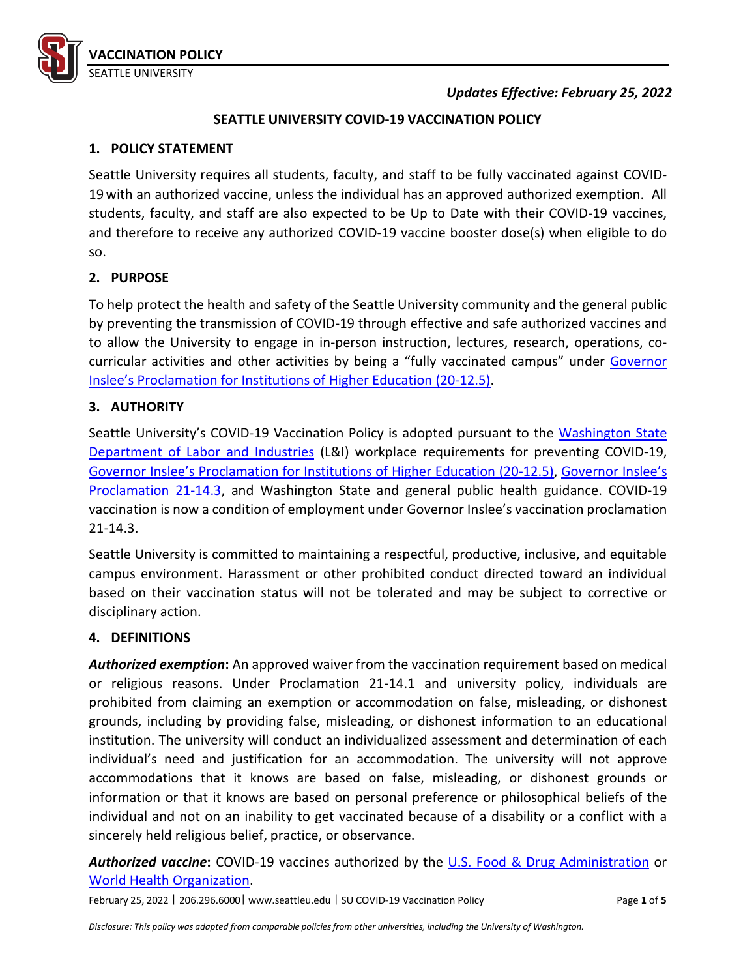

## *Updates Effective: February 25, 2022*

## **SEATTLE UNIVERSITY COVID-19 VACCINATION POLICY**

#### **1. POLICY STATEMENT**

Seattle University requires all students, faculty, and staff to be fully vaccinated against COVID-19 with an authorized vaccine, unless the individual has an approved authorized exemption. All students, faculty, and staff are also expected to be Up to Date with their COVID-19 vaccines, and therefore to receive any authorized COVID-19 vaccine booster dose(s) when eligible to do so.

## **2. PURPOSE**

To help protect the health and safety of the Seattle University community and the general public by preventing the transmission of COVID-19 through effective and safe authorized vaccines and to allow the University to engage in in-person instruction, lectures, research, operations, co-curricular activities and other activities by being a "fully vaccinated campus" under [Governor](https://www.governor.wa.gov/sites/default/files/proclamations/proc_20-12.5.pdf) [Inslee's Proclamation](https://www.governor.wa.gov/sites/default/files/proclamations/proc_20-12.5.pdf) for Institutions of Higher Education (20-12.5).

## **3. AUTHORITY**

Seattle University's COVID-19 Vaccination Policy is adopted pursuant to the [Washington State](https://www.lni.wa.gov/forms-publications/F414-164-000.pdf) [Department of Labor and Industries](https://www.lni.wa.gov/forms-publications/F414-164-000.pdf) (L&I) workplace requirements for preventing COVID-19, [Governor Inslee's Proclamation for Institutions of Higher Education \(20-12.5\),](https://www.governor.wa.gov/sites/default/files/proclamations/proc_20-12.5.pdf) [Governor Inslee's](https://www.governor.wa.gov/sites/default/files/proclamations/21-14.3%20-%20COVID-19%20Vax%20WA%20Amendment%20%28tmp%29.pdf?utm_medium=email&utm_source=govdelivery) [Proclamation 21-14.3,](https://www.governor.wa.gov/sites/default/files/proclamations/21-14.3%20-%20COVID-19%20Vax%20WA%20Amendment%20%28tmp%29.pdf?utm_medium=email&utm_source=govdelivery) and Washington State and general public health guidance. COVID-19 vaccination is now a condition of employment under Governor Inslee's vaccination proclamation 21-14.3.

Seattle University is committed to maintaining a respectful, productive, inclusive, and equitable campus environment. Harassment or other prohibited conduct directed toward an individual based on their vaccination status will not be tolerated and may be subject to corrective or disciplinary action.

#### **4. DEFINITIONS**

*Authorized exemption***:** An approved waiver from the vaccination requirement based on medical or religious reasons. Under Proclamation 21-14.1 and university policy, individuals are prohibited from claiming an exemption or accommodation on false, misleading, or dishonest grounds, including by providing false, misleading, or dishonest information to an educational institution. The university will conduct an individualized assessment and determination of each individual's need and justification for an accommodation. The university will not approve accommodations that it knows are based on false, misleading, or dishonest grounds or information or that it knows are based on personal preference or philosophical beliefs of the individual and not on an inability to get vaccinated because of a disability or a conflict with a sincerely held religious belief, practice, or observance.

Authorized vaccine: COVID-19 vaccines authorized by the [U.S. Food & Drug Administration](https://www.fda.gov/emergency-preparedness-and-response/coronavirus-disease-2019-covid-19/covid-19-vaccines) or World Health [Organization.](https://covid19.trackvaccines.org/agency/who/)

February 25, 2022 ᅵ 206.296.6000ᅵ [www.seattleu.edu](http://www.seattleu.edu/) ᅵ SU COVID-19 Vaccination Policy Page **1** of **5**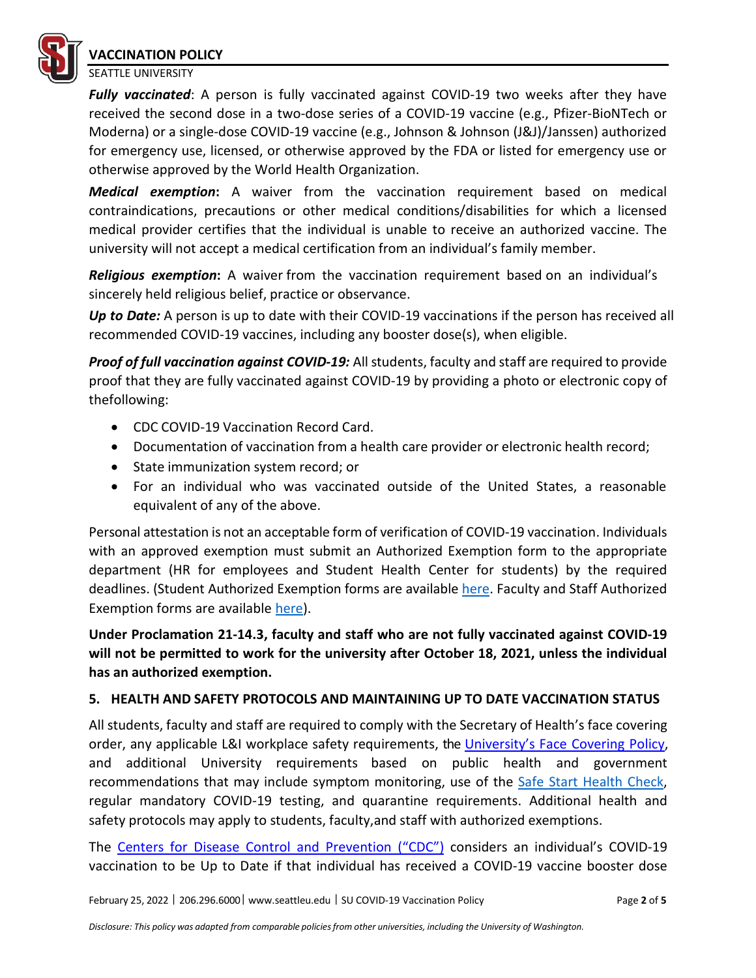

SEATTLE UNIVERSITY

*Fully vaccinated*: A person is fully vaccinated against COVID-19 two weeks after they have received the second dose in a two-dose series of a COVID-19 vaccine (e.g., Pfizer-BioNTech or Moderna) or a single-dose COVID-19 vaccine (e.g., Johnson & Johnson (J&J)/Janssen) authorized for emergency use, licensed, or otherwise approved by the FDA or listed for emergency use or otherwise approved by the World Health Organization.

*Medical exemption***:** A waiver from the vaccination requirement based on medical contraindications, precautions or other medical conditions/disabilities for which a licensed medical provider certifies that the individual is unable to receive an authorized vaccine. The university will not accept a medical certification from an individual's family member.

*Religious exemption***:** A waiver from the vaccination requirement based on an individual's sincerely held religious belief, practice or observance.

*Up to Date:* A person is up to date with their COVID-19 vaccinations if the person has received all recommended COVID-19 vaccines, including any booster dose(s), when eligible.

*Proof of full vaccination against COVID-19:* All students, faculty and staff are required to provide proof that they are fully vaccinated against COVID-19 by providing a photo or electronic copy of thefollowing:

- CDC COVID-19 Vaccination Record Card.
- Documentation of vaccination from a health care provider or electronic health record;
- State immunization system record; or
- For an individual who was vaccinated outside of the United States, a reasonable equivalent of any of the above.

Personal attestation is not an acceptable form of verification of COVID-19 vaccination. Individuals with an approved exemption must submit an Authorized Exemption form to the appropriate department (HR for employees and Student Health Center for students) by the required deadlines. (Student Authorized Exemption forms are available here. Faculty and Staff Authorized Exemption forms are available here).

**Under Proclamation 21-14.3, faculty and staff who are not fully vaccinated against COVID-19 will not be permitted to work for the university after October 18, 2021, unless the individual has an authorized exemption.**

# **5. HEALTH AND SAFETY PROTOCOLS AND MAINTAINING UP TO DATE VACCINATION STATUS**

All students, faculty and staff are required to comply with the Secretary of Health's face covering order, any applicable L&I workplace safety requirements, the University's Face Covering Policy, and additional University requirements based on public health and government recommendations that may include symptom monitoring, use of the Safe Start Health Check, regular mandatory COVID-19 testing, and quarantine requirements. Additional health and safety protocols may apply to students, faculty,and staff with authorized exemptions.

The [Centers for Disease Control and Prevention \("CDC"\)](https://www.cdc.gov/coronavirus/2019-ncov/vaccines/stay-up-to-date.html) considers an individual's COVID-19 vaccination to be Up to Date if that individual has received a COVID-19 vaccine booster dose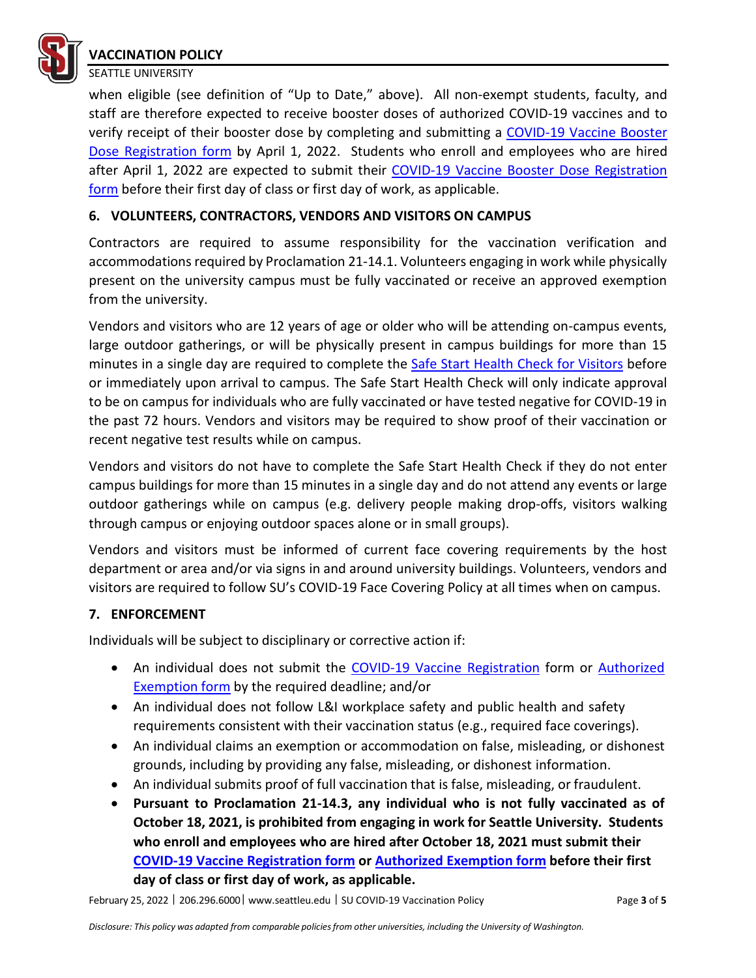

#### **VACCINATION POLICY** SEATTLE UNIVERSITY

when eligible (see definition of "Up to Date," above). All non-exempt students, faculty, and staff are therefore expected to receive booster doses of authorized COVID-19 vaccines and to verify receipt of their booster dose by completing and submitting a [COVID-19 Vaccine Booster](https://www.seattleu.edu/coronavirus/vaccination/)  [Dose Registration form](https://www.seattleu.edu/coronavirus/vaccination/) by April 1, 2022. Students who enroll and employees who are hired after April 1, 2022 are expected to submit their [COVID-19 Vaccine Booster Dose Registration](https://www.seattleu.edu/coronavirus/vaccination/)  [form](https://www.seattleu.edu/coronavirus/vaccination/) before their first day of class or first day of work, as applicable.

# **6. VOLUNTEERS, CONTRACTORS, VENDORS AND VISITORS ON CAMPUS**

Contractors are required to assume responsibility for the vaccination verification and accommodations required by Proclamation 21-14.1. Volunteers engaging in work while physically present on the university campus must be fully vaccinated or receive an approved exemption from the university.

Vendors and visitors who are 12 years of age or older who will be attending on-campus events, large outdoor gatherings, or will be physically present in campus buildings for more than 15 minutes in a single day are required to complete the [Safe Start Health Check for Visitors](https://www.seattleu.edu/coronavirus/screening/) before or immediately upon arrival to campus. The Safe Start Health Check will only indicate approval to be on campus for individuals who are fully vaccinated or have tested negative for COVID-19 in the past 72 hours. Vendors and visitors may be required to show proof of their vaccination or recent negative test results while on campus.

Vendors and visitors do not have to complete the Safe Start Health Check if they do not enter campus buildings for more than 15 minutes in a single day and do not attend any events or large outdoor gatherings while on campus (e.g. delivery people making drop-offs, visitors walking through campus or enjoying outdoor spaces alone or in small groups).

Vendors and visitors must be informed of current face covering requirements by the host department or area and/or via signs in and around university buildings. Volunteers, vendors and visitors are required to follow SU's COVID-19 Face Covering Policy at all times when on campus.

#### **7. ENFORCEMENT**

Individuals will be subject to disciplinary or corrective action if:

- An individual does not submit the COVID-19 Vaccine [Registration](https://www.seattleu.edu/coronavirus/vaccination/) form or [Authorized](https://www.seattleu.edu/student-health/forms/) [Exemption](https://www.seattleu.edu/student-health/forms/) form by the required deadline; and/or
- An individual does not follow L&I workplace safety and public health and safety requirements consistent with their vaccination status (e.g., required face coverings).
- An individual claims an exemption or accommodation on false, misleading, or dishonest grounds, including by providing any false, misleading, or dishonest information.
- An individual submits proof of full vaccination that is false, misleading, or fraudulent.
- **Pursuant to Proclamation 21-14.3, any individual who is not fully vaccinated as of October 18, 2021, is prohibited from engaging in work for Seattle University. Students who enroll and employees who are hired after October 18, 2021 must submit their [COVID-19 Vaccine Registration form](https://www.seattleu.edu/coronavirus/vaccination/) or [Authorized Exemption form](https://www.seattleu.edu/student-health/forms/) before their first day of class or first day of work, as applicable.**

February 25, 2022 ᅵ 206.296.6000ᅵ [www.seattleu.edu](http://www.seattleu.edu/) ᅵ SU COVID-19 Vaccination Policy Page **3** of **5**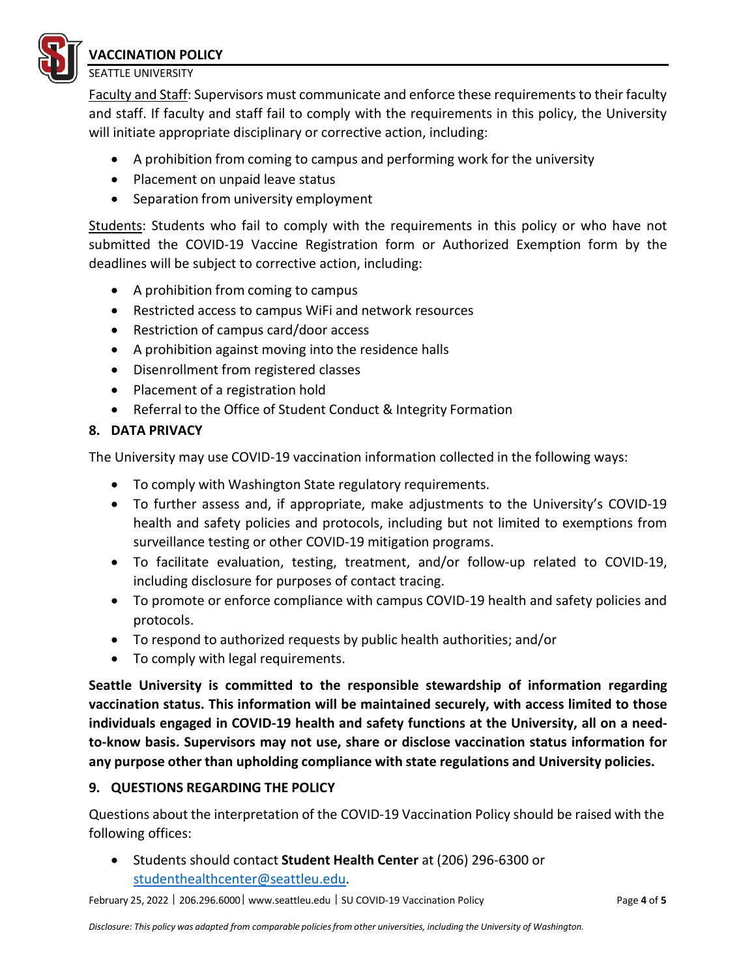

**VACCINATION POLICY** SEATTLE UNIVERSITY

Faculty and Staff: Supervisors must communicate and enforce these requirements to their faculty and staff. If faculty and staff fail to comply with the requirements in this policy, the University will initiate appropriate disciplinary or corrective action, including:

- A prohibition from coming to campus and performing work for the university
- Placement on unpaid leave status
- Separation from university employment

Students: Students who fail to comply with the requirements in this policy or who have not submitted the COVID-19 Vaccine Registration form or Authorized Exemption form by the deadlines will be subject to corrective action, including:

- A prohibition from coming to campus
- Restricted access to campus WiFi and network resources
- Restriction of campus card/door access
- A prohibition against moving into the residence halls
- Disenrollment from registered classes
- Placement of a registration hold
- Referral to the Office of Student Conduct & Integrity Formation

# **8. DATA PRIVACY**

The University may use COVID-19 vaccination information collected in the following ways:

- To comply with Washington State regulatory requirements.
- To further assess and, if appropriate, make adjustments to the University's COVID-19 health and safety policies and protocols, including but not limited to exemptions from surveillance testing or other COVID-19 mitigation programs.
- To facilitate evaluation, testing, treatment, and/or follow-up related to COVID-19, including disclosure for purposes of contact tracing.
- To promote or enforce compliance with campus COVID-19 health and safety policies and protocols.
- To respond to authorized requests by public health authorities; and/or
- To comply with legal requirements.

**Seattle University is committed to the responsible stewardship of information regarding vaccination status. This information will be maintained securely, with access limited to those individuals engaged in COVID-19 health and safety functions at the University, all on a needto-know basis. Supervisors may not use, share or disclose vaccination status information for any purpose other than upholding compliance with state regulations and University policies.**

# **9. QUESTIONS REGARDING THE POLICY**

Questions about the interpretation of the COVID-19 Vaccination Policy should be raised with the following offices:

• Students should contact **Student Health Center** at (206) 296-6300 or [studenthealthcenter@seattleu.edu.](mailto:studenthealthcenter@seattleu.edu)

February 25, 2022 ᅵ 206.296.6000ᅵ [www.seattleu.edu](http://www.seattleu.edu/) ᅵ SU COVID-19 Vaccination Policy Page **4** of **5**